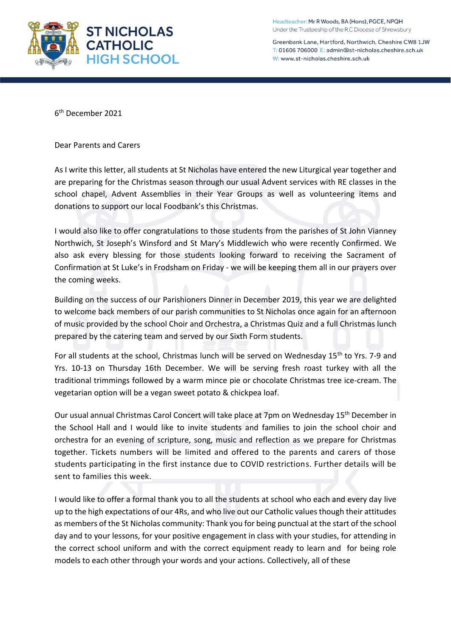

Headteacher: Mr R Woods, BA (Hons), PGCE, NPQH Under the Trusteeship of the R.C Diocese of Shrewsbury

Greenbank Lane, Hartford, Northwich, Cheshire CW8 1JW T: 01606 706000 E: admin@st-nicholas.cheshire.sch.uk W: www.st-nicholas.cheshire.sch.uk

6 th December 2021

Dear Parents and Carers

As I write this letter, all students at St Nicholas have entered the new Liturgical year together and are preparing for the Christmas season through our usual Advent services with RE classes in the school chapel, Advent Assemblies in their Year Groups as well as volunteering items and donations to support our local Foodbank's this Christmas.

I would also like to offer congratulations to those students from the parishes of St John Vianney Northwich, St Joseph's Winsford and St Mary's Middlewich who were recently Confirmed. We also ask every blessing for those students looking forward to receiving the Sacrament of Confirmation at St Luke's in Frodsham on Friday - we will be keeping them all in our prayers over the coming weeks.

Building on the success of our Parishioners Dinner in December 2019, this year we are delighted to welcome back members of our parish communities to St Nicholas once again for an afternoon of music provided by the school Choir and Orchestra, a Christmas Quiz and a full Christmas lunch prepared by the catering team and served by our Sixth Form students.

For all students at the school, Christmas lunch will be served on Wednesday 15<sup>th</sup> to Yrs. 7-9 and Yrs. 10-13 on Thursday 16th December. We will be serving fresh roast turkey with all the traditional trimmings followed by a warm mince pie or chocolate Christmas tree ice-cream. The vegetarian option will be a vegan sweet potato & chickpea loaf.

Our usual annual Christmas Carol Concert will take place at 7pm on Wednesday 15th December in the School Hall and I would like to invite students and families to join the school choir and orchestra for an evening of scripture, song, music and reflection as we prepare for Christmas together. Tickets numbers will be limited and offered to the parents and carers of those students participating in the first instance due to COVID restrictions. Further details will be sent to families this week.

I would like to offer a formal thank you to all the students at school who each and every day live up to the high expectations of our 4Rs, and who live out our Catholic values though their attitudes as members of the St Nicholas community: Thank you for being punctual at the start of the school day and to your lessons, for your positive engagement in class with your studies, for attending in the correct school uniform and with the correct equipment ready to learn and for being role models to each other through your words and your actions. Collectively, all of these